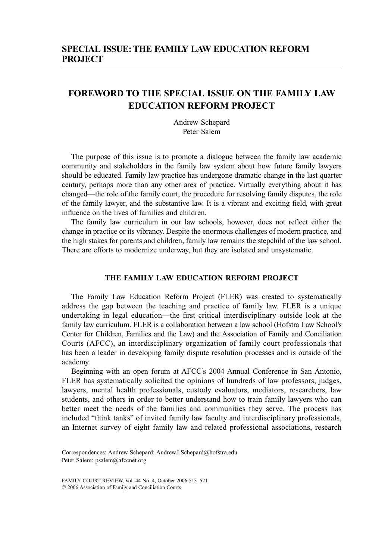# **FOREWORD TO THE SPECIAL ISSUE ON THE FAMILY LAW EDUCATION REFORM PROJECT**

Andrew Schepard Peter Salem

The purpose of this issue is to promote a dialogue between the family law academic community and stakeholders in the family law system about how future family lawyers should be educated. Family law practice has undergone dramatic change in the last quarter century, perhaps more than any other area of practice. Virtually everything about it has changed—the role of the family court, the procedure for resolving family disputes, the role of the family lawyer, and the substantive law. It is a vibrant and exciting field, with great influence on the lives of families and children.

The family law curriculum in our law schools, however, does not reflect either the change in practice or its vibrancy. Despite the enormous challenges of modern practice, and the high stakes for parents and children, family law remains the stepchild of the law school. There are efforts to modernize underway, but they are isolated and unsystematic.

# **THE FAMILY LAW EDUCATION REFORM PROJECT**

The Family Law Education Reform Project (FLER) was created to systematically address the gap between the teaching and practice of family law. FLER is a unique undertaking in legal education—the first critical interdisciplinary outside look at the family law curriculum. FLER is a collaboration between a law school (Hofstra Law School's Center for Children, Families and the Law) and the Association of Family and Conciliation Courts (AFCC), an interdisciplinary organization of family court professionals that has been a leader in developing family dispute resolution processes and is outside of the academy.

Beginning with an open forum at AFCC's 2004 Annual Conference in San Antonio, FLER has systematically solicited the opinions of hundreds of law professors, judges, lawyers, mental health professionals, custody evaluators, mediators, researchers, law students, and others in order to better understand how to train family lawyers who can better meet the needs of the families and communities they serve. The process has included "think tanks" of invited family law faculty and interdisciplinary professionals, an Internet survey of eight family law and related professional associations, research

FAMILY COURT REVIEW, Vol. 44 No. 4, October 2006 513–521 © 2006 Association of Family and Conciliation Courts

Correspondences: Andrew Schepard: Andrew.I.Schepard@hofstra.edu Peter Salem: psalem@afccnet.org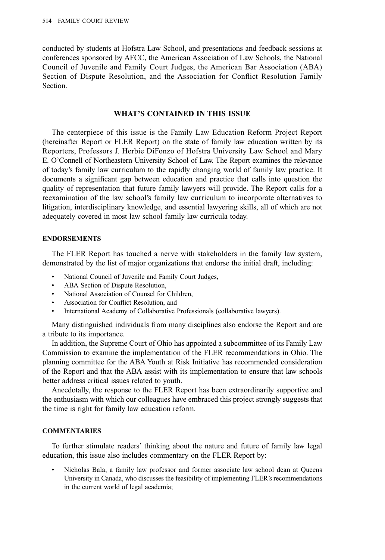conducted by students at Hofstra Law School, and presentations and feedback sessions at conferences sponsored by AFCC, the American Association of Law Schools, the National Council of Juvenile and Family Court Judges, the American Bar Association (ABA) Section of Dispute Resolution, and the Association for Conflict Resolution Family Section.

# **WHAT'S CONTAINED IN THIS ISSUE**

The centerpiece of this issue is the Family Law Education Reform Project Report (hereinafter Report or FLER Report) on the state of family law education written by its Reporters, Professors J. Herbie DiFonzo of Hofstra University Law School and Mary E. O'Connell of Northeastern University School of Law. The Report examines the relevance of today's family law curriculum to the rapidly changing world of family law practice. It documents a significant gap between education and practice that calls into question the quality of representation that future family lawyers will provide. The Report calls for a reexamination of the law school's family law curriculum to incorporate alternatives to litigation, interdisciplinary knowledge, and essential lawyering skills, all of which are not adequately covered in most law school family law curricula today.

## **ENDORSEMENTS**

The FLER Report has touched a nerve with stakeholders in the family law system, demonstrated by the list of major organizations that endorse the initial draft, including:

- National Council of Juvenile and Family Court Judges,
- ABA Section of Dispute Resolution,
- National Association of Counsel for Children,
- Association for Conflict Resolution, and
- International Academy of Collaborative Professionals (collaborative lawyers).

Many distinguished individuals from many disciplines also endorse the Report and are a tribute to its importance.

In addition, the Supreme Court of Ohio has appointed a subcommittee of its Family Law Commission to examine the implementation of the FLER recommendations in Ohio. The planning committee for the ABA Youth at Risk Initiative has recommended consideration of the Report and that the ABA assist with its implementation to ensure that law schools better address critical issues related to youth.

Anecdotally, the response to the FLER Report has been extraordinarily supportive and the enthusiasm with which our colleagues have embraced this project strongly suggests that the time is right for family law education reform.

## **COMMENTARIES**

To further stimulate readers' thinking about the nature and future of family law legal education, this issue also includes commentary on the FLER Report by:

• Nicholas Bala, a family law professor and former associate law school dean at Queens University in Canada, who discusses the feasibility of implementing FLER's recommendations in the current world of legal academia;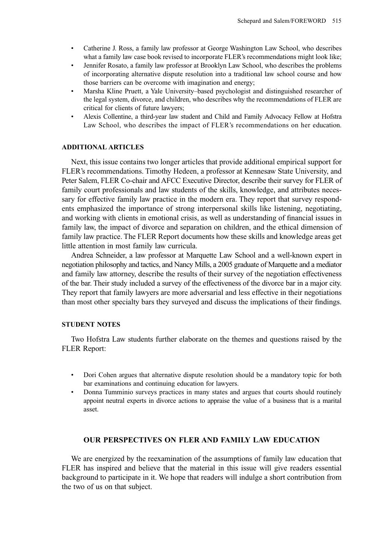- Catherine J. Ross, a family law professor at George Washington Law School, who describes what a family law case book revised to incorporate FLER's recommendations might look like;
- Jennifer Rosato, a family law professor at Brooklyn Law School, who describes the problems of incorporating alternative dispute resolution into a traditional law school course and how those barriers can be overcome with imagination and energy;
- Marsha Kline Pruett, a Yale University–based psychologist and distinguished researcher of the legal system, divorce, and children, who describes why the recommendations of FLER are critical for clients of future lawyers;
- Alexis Collentine, a third-year law student and Child and Family Advocacy Fellow at Hofstra Law School, who describes the impact of FLER's recommendations on her education.

## **ADDITIONAL ARTICLES**

Next, this issue contains two longer articles that provide additional empirical support for FLER's recommendations. Timothy Hedeen, a professor at Kennesaw State University, and Peter Salem, FLER Co-chair and AFCC Executive Director, describe their survey for FLER of family court professionals and law students of the skills, knowledge, and attributes necessary for effective family law practice in the modern era. They report that survey respondents emphasized the importance of strong interpersonal skills like listening, negotiating, and working with clients in emotional crisis, as well as understanding of financial issues in family law, the impact of divorce and separation on children, and the ethical dimension of family law practice. The FLER Report documents how these skills and knowledge areas get little attention in most family law curricula.

Andrea Schneider, a law professor at Marquette Law School and a well-known expert in negotiation philosophy and tactics, and Nancy Mills, a 2005 graduate of Marquette and a mediator and family law attorney, describe the results of their survey of the negotiation effectiveness of the bar. Their study included a survey of the effectiveness of the divorce bar in a major city. They report that family lawyers are more adversarial and less effective in their negotiations than most other specialty bars they surveyed and discuss the implications of their findings.

## **STUDENT NOTES**

Two Hofstra Law students further elaborate on the themes and questions raised by the FLER Report:

- Dori Cohen argues that alternative dispute resolution should be a mandatory topic for both bar examinations and continuing education for lawyers.
- Donna Tumminio surveys practices in many states and argues that courts should routinely appoint neutral experts in divorce actions to appraise the value of a business that is a marital asset.

# **OUR PERSPECTIVES ON FLER AND FAMILY LAW EDUCATION**

We are energized by the reexamination of the assumptions of family law education that FLER has inspired and believe that the material in this issue will give readers essential background to participate in it. We hope that readers will indulge a short contribution from the two of us on that subject.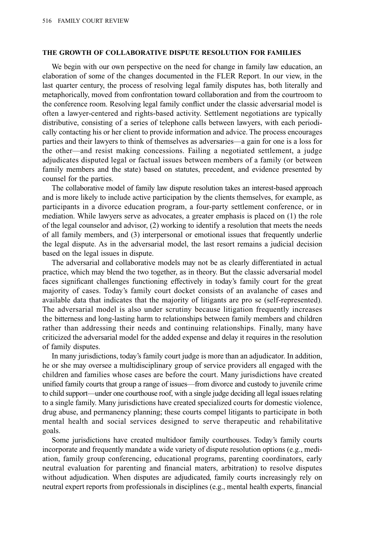# **THE GROWTH OF COLLABORATIVE DISPUTE RESOLUTION FOR FAMILIES**

We begin with our own perspective on the need for change in family law education, an elaboration of some of the changes documented in the FLER Report. In our view, in the last quarter century, the process of resolving legal family disputes has, both literally and metaphorically, moved from confrontation toward collaboration and from the courtroom to the conference room. Resolving legal family conflict under the classic adversarial model is often a lawyer-centered and rights-based activity. Settlement negotiations are typically distributive, consisting of a series of telephone calls between lawyers, with each periodically contacting his or her client to provide information and advice. The process encourages parties and their lawyers to think of themselves as adversaries—a gain for one is a loss for the other—and resist making concessions. Failing a negotiated settlement, a judge adjudicates disputed legal or factual issues between members of a family (or between family members and the state) based on statutes, precedent, and evidence presented by counsel for the parties.

The collaborative model of family law dispute resolution takes an interest-based approach and is more likely to include active participation by the clients themselves, for example, as participants in a divorce education program, a four-party settlement conference, or in mediation. While lawyers serve as advocates, a greater emphasis is placed on (1) the role of the legal counselor and advisor, (2) working to identify a resolution that meets the needs of all family members, and (3) interpersonal or emotional issues that frequently underlie the legal dispute. As in the adversarial model, the last resort remains a judicial decision based on the legal issues in dispute.

The adversarial and collaborative models may not be as clearly differentiated in actual practice, which may blend the two together, as in theory. But the classic adversarial model faces significant challenges functioning effectively in today's family court for the great majority of cases. Today's family court docket consists of an avalanche of cases and available data that indicates that the majority of litigants are pro se (self-represented). The adversarial model is also under scrutiny because litigation frequently increases the bitterness and long-lasting harm to relationships between family members and children rather than addressing their needs and continuing relationships. Finally, many have criticized the adversarial model for the added expense and delay it requires in the resolution of family disputes.

In many jurisdictions, today's family court judge is more than an adjudicator. In addition, he or she may oversee a multidisciplinary group of service providers all engaged with the children and families whose cases are before the court. Many jurisdictions have created unified family courts that group a range of issues—from divorce and custody to juvenile crime to child support—under one courthouse roof, with a single judge deciding all legal issues relating to a single family. Many jurisdictions have created specialized courts for domestic violence, drug abuse, and permanency planning; these courts compel litigants to participate in both mental health and social services designed to serve therapeutic and rehabilitative goals.

Some jurisdictions have created multidoor family courthouses. Today's family courts incorporate and frequently mandate a wide variety of dispute resolution options (e.g., mediation, family group conferencing, educational programs, parenting coordinators, early neutral evaluation for parenting and financial maters, arbitration) to resolve disputes without adjudication. When disputes are adjudicated, family courts increasingly rely on neutral expert reports from professionals in disciplines (e.g., mental health experts, financial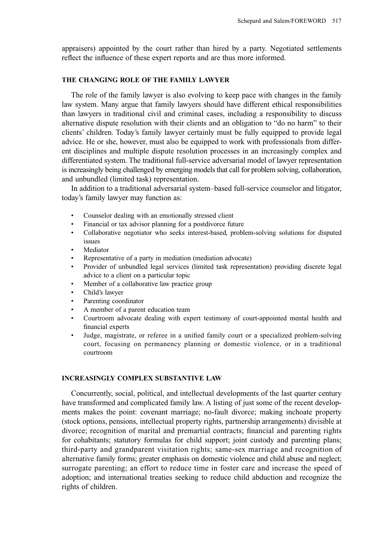appraisers) appointed by the court rather than hired by a party. Negotiated settlements reflect the influence of these expert reports and are thus more informed.

## **THE CHANGING ROLE OF THE FAMILY LAWYER**

The role of the family lawyer is also evolving to keep pace with changes in the family law system. Many argue that family lawyers should have different ethical responsibilities than lawyers in traditional civil and criminal cases, including a responsibility to discuss alternative dispute resolution with their clients and an obligation to "do no harm" to their clients' children. Today's family lawyer certainly must be fully equipped to provide legal advice. He or she, however, must also be equipped to work with professionals from different disciplines and multiple dispute resolution processes in an increasingly complex and differentiated system. The traditional full-service adversarial model of lawyer representation is increasingly being challenged by emerging models that call for problem solving, collaboration, and unbundled (limited task) representation.

In addition to a traditional adversarial system–based full-service counselor and litigator, today's family lawyer may function as:

- Counselor dealing with an emotionally stressed client
- Financial or tax advisor planning for a postdivorce future
- Collaborative negotiator who seeks interest-based, problem-solving solutions for disputed issues
- **Mediator**
- Representative of a party in mediation (mediation advocate)
- Provider of unbundled legal services (limited task representation) providing discrete legal advice to a client on a particular topic
- Member of a collaborative law practice group
- Child's lawyer
- Parenting coordinator
- A member of a parent education team
- Courtroom advocate dealing with expert testimony of court-appointed mental health and financial experts
- Judge, magistrate, or referee in a unified family court or a specialized problem-solving court, focusing on permanency planning or domestic violence, or in a traditional courtroom

## **INCREASINGLY COMPLEX SUBSTANTIVE LAW**

Concurrently, social, political, and intellectual developments of the last quarter century have transformed and complicated family law. A listing of just some of the recent developments makes the point: covenant marriage; no-fault divorce; making inchoate property (stock options, pensions, intellectual property rights, partnership arrangements) divisible at divorce; recognition of marital and premartial contracts; financial and parenting rights for cohabitants; statutory formulas for child support; joint custody and parenting plans; third-party and grandparent visitation rights; same-sex marriage and recognition of alternative family forms; greater emphasis on domestic violence and child abuse and neglect; surrogate parenting; an effort to reduce time in foster care and increase the speed of adoption; and international treaties seeking to reduce child abduction and recognize the rights of children.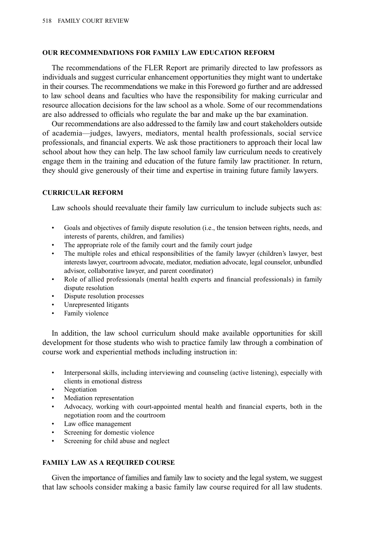# **OUR RECOMMENDATIONS FOR FAMILY LAW EDUCATION REFORM**

The recommendations of the FLER Report are primarily directed to law professors as individuals and suggest curricular enhancement opportunities they might want to undertake in their courses. The recommendations we make in this Foreword go further and are addressed to law school deans and faculties who have the responsibility for making curricular and resource allocation decisions for the law school as a whole. Some of our recommendations are also addressed to officials who regulate the bar and make up the bar examination.

Our recommendations are also addressed to the family law and court stakeholders outside of academia—judges, lawyers, mediators, mental health professionals, social service professionals, and financial experts. We ask those practitioners to approach their local law school about how they can help. The law school family law curriculum needs to creatively engage them in the training and education of the future family law practitioner. In return, they should give generously of their time and expertise in training future family lawyers.

# **CURRICULAR REFORM**

Law schools should reevaluate their family law curriculum to include subjects such as:

- Goals and objectives of family dispute resolution (i.e., the tension between rights, needs, and interests of parents, children, and families)
- The appropriate role of the family court and the family court judge
- The multiple roles and ethical responsibilities of the family lawyer (children's lawyer, best interests lawyer, courtroom advocate, mediator, mediation advocate, legal counselor, unbundled advisor, collaborative lawyer, and parent coordinator)
- Role of allied professionals (mental health experts and financial professionals) in family dispute resolution
- Dispute resolution processes
- Unrepresented litigants
- Family violence

In addition, the law school curriculum should make available opportunities for skill development for those students who wish to practice family law through a combination of course work and experiential methods including instruction in:

- Interpersonal skills, including interviewing and counseling (active listening), especially with clients in emotional distress
- Negotiation
- Mediation representation
- Advocacy, working with court-appointed mental health and financial experts, both in the negotiation room and the courtroom
- Law office management
- Screening for domestic violence
- Screening for child abuse and neglect

# **FAMILY LAW AS A REQUIRED COURSE**

Given the importance of families and family law to society and the legal system, we suggest that law schools consider making a basic family law course required for all law students.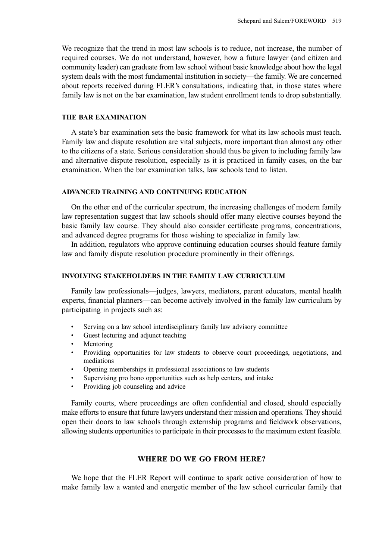We recognize that the trend in most law schools is to reduce, not increase, the number of required courses. We do not understand, however, how a future lawyer (and citizen and community leader) can graduate from law school without basic knowledge about how the legal system deals with the most fundamental institution in society—the family. We are concerned about reports received during FLER's consultations, indicating that, in those states where family law is not on the bar examination, law student enrollment tends to drop substantially.

## **THE BAR EXAMINATION**

A state's bar examination sets the basic framework for what its law schools must teach. Family law and dispute resolution are vital subjects, more important than almost any other to the citizens of a state. Serious consideration should thus be given to including family law and alternative dispute resolution, especially as it is practiced in family cases, on the bar examination. When the bar examination talks, law schools tend to listen.

# **ADVANCED TRAINING AND CONTINUING EDUCATION**

On the other end of the curricular spectrum, the increasing challenges of modern family law representation suggest that law schools should offer many elective courses beyond the basic family law course. They should also consider certificate programs, concentrations, and advanced degree programs for those wishing to specialize in family law.

In addition, regulators who approve continuing education courses should feature family law and family dispute resolution procedure prominently in their offerings.

## **INVOLVING STAKEHOLDERS IN THE FAMILY LAW CURRICULUM**

Family law professionals—judges, lawyers, mediators, parent educators, mental health experts, financial planners—can become actively involved in the family law curriculum by participating in projects such as:

- Serving on a law school interdisciplinary family law advisory committee
- Guest lecturing and adjunct teaching
- **Mentoring**
- Providing opportunities for law students to observe court proceedings, negotiations, and mediations
- Opening memberships in professional associations to law students
- Supervising pro bono opportunities such as help centers, and intake
- Providing job counseling and advice

Family courts, where proceedings are often confidential and closed, should especially make efforts to ensure that future lawyers understand their mission and operations. They should open their doors to law schools through externship programs and fieldwork observations, allowing students opportunities to participate in their processes to the maximum extent feasible.

## **WHERE DO WE GO FROM HERE?**

We hope that the FLER Report will continue to spark active consideration of how to make family law a wanted and energetic member of the law school curricular family that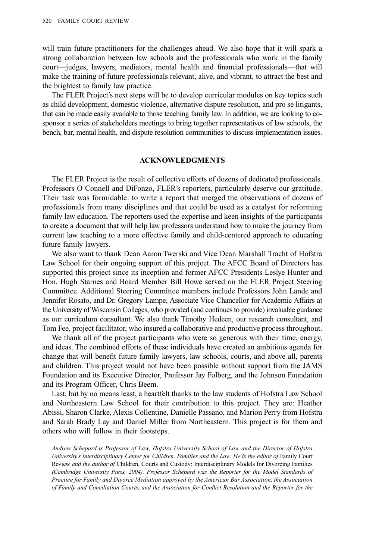will train future practitioners for the challenges ahead. We also hope that it will spark a strong collaboration between law schools and the professionals who work in the family court—judges, lawyers, mediators, mental health and financial professionals—that will make the training of future professionals relevant, alive, and vibrant, to attract the best and the brightest to family law practice.

The FLER Project's next steps will be to develop curricular modules on key topics such as child development, domestic violence, alternative dispute resolution, and pro se litigants, that can be made easily available to those teaching family law. In addition, we are looking to cosponsor a series of stakeholders meetings to bring together representatives of law schools, the bench, bar, mental health, and dispute resolution communities to discuss implementation issues.

# **ACKNOWLEDGMENTS**

The FLER Project is the result of collective efforts of dozens of dedicated professionals. Professors O'Connell and DiFonzo, FLER's reporters, particularly deserve our gratitude. Their task was formidable: to write a report that merged the observations of dozens of professionals from many disciplines and that could be used as a catalyst for reforming family law education. The reporters used the expertise and keen insights of the participants to create a document that will help law professors understand how to make the journey from current law teaching to a more effective family and child-centered approach to educating future family lawyers.

We also want to thank Dean Aaron Twerski and Vice Dean Marshall Tracht of Hofstra Law School for their ongoing support of this project. The AFCC Board of Directors has supported this project since its inception and former AFCC Presidents Leslye Hunter and Hon. Hugh Starnes and Board Member Bill Howe served on the FLER Project Steering Committee. Additional Steering Committee members include Professors John Lande and Jennifer Rosato, and Dr. Gregory Lampe, Associate Vice Chancellor for Academic Affairs at the University of Wisconsin Colleges, who provided (and continues to provide) invaluable guidance as our curriculum consultant. We also thank Timothy Hedeen, our research consultant, and Tom Fee, project facilitator, who insured a collaborative and productive process throughout.

We thank all of the project participants who were so generous with their time, energy, and ideas. The combined efforts of these individuals have created an ambitious agenda for change that will benefit future family lawyers, law schools, courts, and above all, parents and children. This project would not have been possible without support from the JAMS Foundation and its Executive Director, Professor Jay Folberg, and the Johnson Foundation and its Program Officer, Chris Beem.

Last, but by no means least, a heartfelt thanks to the law students of Hofstra Law School and Northeastern Law School for their contribution to this project. They are: Heather Abissi, Sharon Clarke, Alexis Collentine, Danielle Passano, and Marion Perry from Hofstra and Sarah Brady Lay and Daniel Miller from Northeastern. This project is for them and others who will follow in their footsteps.

*Andrew Schepard is Professor of Law, Hofstra University School of Law and the Director of Hofstra University's interdisciplinary Center for Children, Families and the Law. He is the editor of* Family Court Review *and the author of* Children, Courts and Custody: Interdisciplinary Models for Divorcing Families *(Cambridge University Press, 2004). Professor Schepard was the Reporter for the Model Standards of Practice for Family and Divorce Mediation approved by the American Bar Association, the Association of Family and Conciliation Courts, and the Association for Conflict Resolution and the Reporter for the*